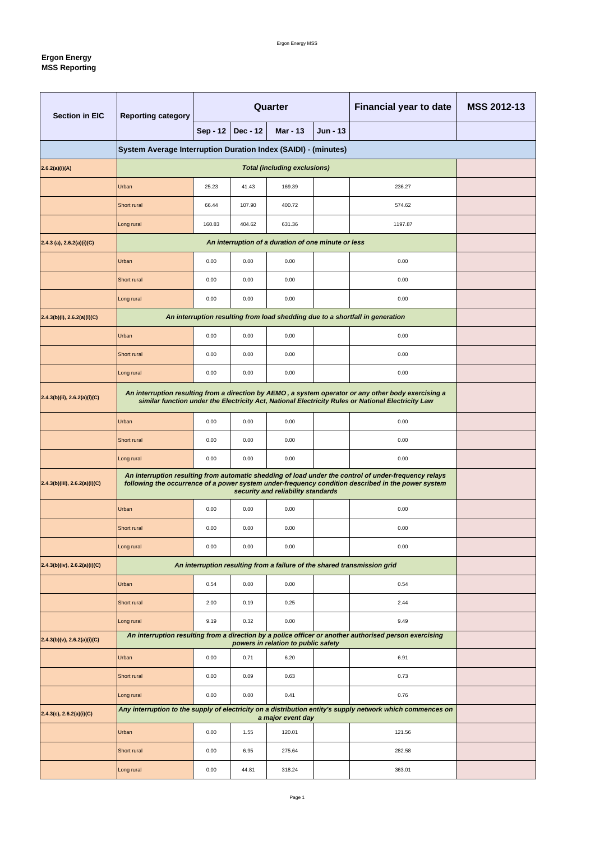## **Ergon Energy MSS Reporting**

| <b>Section in EIC</b>            | <b>Reporting category</b>                                                                                                                                                                                  | <b>Quarter</b>  |                 |                                                     |                 | <b>Financial year to date</b>                                                                                                                                                                               | <b>MSS 2012-13</b> |
|----------------------------------|------------------------------------------------------------------------------------------------------------------------------------------------------------------------------------------------------------|-----------------|-----------------|-----------------------------------------------------|-----------------|-------------------------------------------------------------------------------------------------------------------------------------------------------------------------------------------------------------|--------------------|
|                                  |                                                                                                                                                                                                            | <b>Sep - 12</b> | <b>Dec - 12</b> | <b>Mar - 13</b>                                     | <b>Jun - 13</b> |                                                                                                                                                                                                             |                    |
|                                  | System Average Interruption Duration Index (SAIDI) - (minutes)                                                                                                                                             |                 |                 |                                                     |                 |                                                                                                                                                                                                             |                    |
| 2.6.2(a)(i)(A)                   |                                                                                                                                                                                                            |                 |                 | <b>Total (including exclusions)</b>                 |                 |                                                                                                                                                                                                             |                    |
|                                  | <b>Urban</b>                                                                                                                                                                                               | 25.23           | 41.43           | 169.39                                              |                 | 236.27                                                                                                                                                                                                      |                    |
|                                  | <b>Short rural</b>                                                                                                                                                                                         | 66.44           | 107.90          | 400.72                                              |                 | 574.62                                                                                                                                                                                                      |                    |
|                                  | Long rural                                                                                                                                                                                                 | 160.83          | 404.62          | 631.36                                              |                 | 1197.87                                                                                                                                                                                                     |                    |
| $2.4.3$ (a), 2.6.2(a)(i)(C)      |                                                                                                                                                                                                            |                 |                 | An interruption of a duration of one minute or less |                 |                                                                                                                                                                                                             |                    |
|                                  | Urban                                                                                                                                                                                                      | 0.00            | 0.00            | 0.00                                                |                 | 0.00                                                                                                                                                                                                        |                    |
|                                  | <b>Short rural</b>                                                                                                                                                                                         | 0.00            | 0.00            | 0.00                                                |                 | 0.00                                                                                                                                                                                                        |                    |
|                                  | Long rural                                                                                                                                                                                                 | 0.00            | 0.00            | 0.00                                                |                 | 0.00                                                                                                                                                                                                        |                    |
| $2.4.3(b)(i)$ , 2.6.2(a)(i)(C)   |                                                                                                                                                                                                            |                 |                 |                                                     |                 | An interruption resulting from load shedding due to a shortfall in generation                                                                                                                               |                    |
|                                  | <b>Urban</b>                                                                                                                                                                                               | 0.00            | 0.00            | 0.00                                                |                 | 0.00                                                                                                                                                                                                        |                    |
|                                  | 0.00<br><b>Short rural</b><br>0.00<br>0.00<br>0.00                                                                                                                                                         |                 |                 |                                                     |                 |                                                                                                                                                                                                             |                    |
|                                  | Long rural                                                                                                                                                                                                 | 0.00            | 0.00            | 0.00                                                |                 | 0.00                                                                                                                                                                                                        |                    |
| 2.4.3(b)(ii), 2.6.2(a)(i)(C)     | An interruption resulting from a direction by AEMO, a system operator or any other body exercising a<br>similar function under the Electricity Act, National Electricity Rules or National Electricity Law |                 |                 |                                                     |                 |                                                                                                                                                                                                             |                    |
|                                  | Urban                                                                                                                                                                                                      | 0.00            | 0.00            | 0.00                                                |                 | 0.00                                                                                                                                                                                                        |                    |
|                                  | Short rural                                                                                                                                                                                                | 0.00            | 0.00            | 0.00                                                |                 | 0.00                                                                                                                                                                                                        |                    |
|                                  | Long rural                                                                                                                                                                                                 | 0.00            | 0.00            | 0.00                                                |                 | 0.00                                                                                                                                                                                                        |                    |
| $2.4.3(b)(iii)$ , 2.6.2(a)(i)(C) |                                                                                                                                                                                                            |                 |                 | security and reliability standards                  |                 | An interruption resulting from automatic shedding of load under the control of under-frequency relays<br>following the occurrence of a power system under-frequency condition described in the power system |                    |
|                                  | <b>Urban</b>                                                                                                                                                                                               | 0.00            | 0.00            | 0.00                                                |                 | 0.00                                                                                                                                                                                                        |                    |
|                                  | Short rural                                                                                                                                                                                                | 0.00            | 0.00            | 0.00                                                |                 | 0.00                                                                                                                                                                                                        |                    |
|                                  | Long rural                                                                                                                                                                                                 | 0.00            | 0.00            | 0.00                                                |                 | 0.00                                                                                                                                                                                                        |                    |
| $2.4.3(b)(iv)$ , 2.6.2(a)(i)(C)  |                                                                                                                                                                                                            |                 |                 |                                                     |                 | An interruption resulting from a failure of the shared transmission grid                                                                                                                                    |                    |
|                                  | <b>Urban</b>                                                                                                                                                                                               | 0.54            | 0.00            | 0.00                                                |                 | 0.54                                                                                                                                                                                                        |                    |
|                                  | <b>Short rural</b>                                                                                                                                                                                         | 2.00            | 0.19            | 0.25                                                |                 | 2.44                                                                                                                                                                                                        |                    |
|                                  | Long rural                                                                                                                                                                                                 | 9.19            | 0.32            | 0.00                                                |                 | 9.49                                                                                                                                                                                                        |                    |
| $2.4.3(b)(v)$ , 2.6.2(a)(i)(C)   |                                                                                                                                                                                                            |                 |                 | powers in relation to public safety                 |                 | An interruption resulting from a direction by a police officer or another authorised person exercising                                                                                                      |                    |
|                                  | Urban                                                                                                                                                                                                      | 0.00            | 0.71            | 6.20                                                |                 | 6.91                                                                                                                                                                                                        |                    |
|                                  | Short rural                                                                                                                                                                                                | 0.00            | 0.09            | 0.63                                                |                 | 0.73                                                                                                                                                                                                        |                    |
|                                  | Long rural                                                                                                                                                                                                 | 0.00            | 0.00            | 0.41                                                |                 | 0.76                                                                                                                                                                                                        |                    |
| $2.4.3(c)$ , 2.6.2(a)(i)(C)      |                                                                                                                                                                                                            |                 |                 | a major event day                                   |                 | Any interruption to the supply of electricity on a distribution entity's supply network which commences on                                                                                                  |                    |
|                                  | Urban                                                                                                                                                                                                      | $0.00\,$        | 1.55            | 120.01                                              |                 | 121.56                                                                                                                                                                                                      |                    |
|                                  | Short rural                                                                                                                                                                                                | 0.00            | 6.95            | 275.64                                              |                 | 282.58                                                                                                                                                                                                      |                    |
|                                  | Long rural                                                                                                                                                                                                 | 0.00            | 44.81           | 318.24                                              |                 | 363.01                                                                                                                                                                                                      |                    |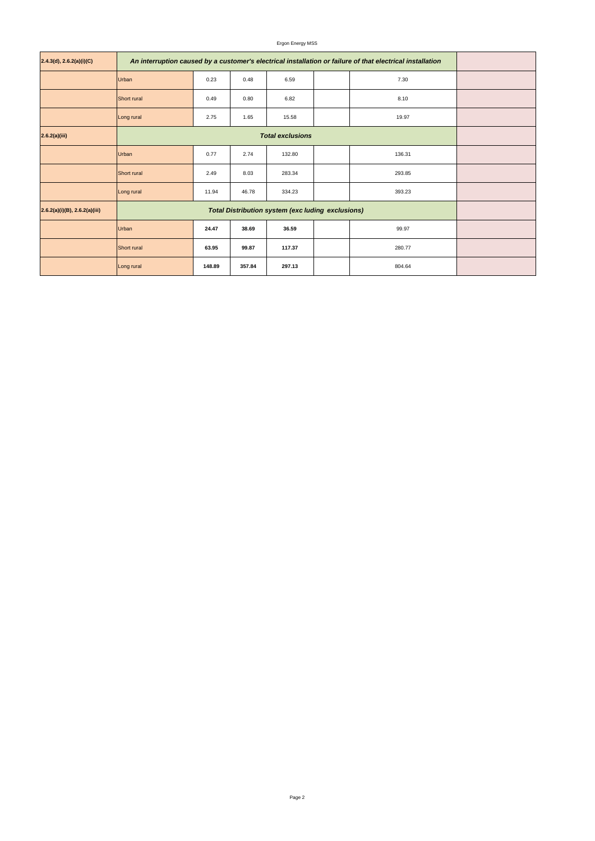## Ergon Energy MSS

| 2.4.3(d), 2.6.2(a)(i)(C)         | An interruption caused by a customer's electrical installation or failure of that electrical installation |        |        |                                                          |  |        |  |
|----------------------------------|-----------------------------------------------------------------------------------------------------------|--------|--------|----------------------------------------------------------|--|--------|--|
|                                  | Urban                                                                                                     | 0.23   | 0.48   | 6.59                                                     |  | 7.30   |  |
|                                  | Short rural                                                                                               | 0.49   | 0.80   | 6.82                                                     |  | 8.10   |  |
|                                  | Long rural                                                                                                | 2.75   | 1.65   | 15.58                                                    |  | 19.97  |  |
| 2.6.2(a)(iii)                    |                                                                                                           |        |        |                                                          |  |        |  |
|                                  | <b>Urban</b>                                                                                              | 0.77   | 2.74   | 132.80                                                   |  | 136.31 |  |
|                                  | Short rural                                                                                               | 2.49   | 8.03   | 283.34                                                   |  | 293.85 |  |
|                                  | Long rural                                                                                                | 11.94  | 46.78  | 334.23                                                   |  | 393.23 |  |
| $2.6.2(a)(i)(B)$ , 2.6.2(a)(iii) |                                                                                                           |        |        | <b>Total Distribution system (exc luding exclusions)</b> |  |        |  |
|                                  | 24.47<br>36.59<br>99.97<br>Urban<br>38.69                                                                 |        |        |                                                          |  |        |  |
|                                  | <b>Short rural</b>                                                                                        |        |        |                                                          |  |        |  |
|                                  | Long rural                                                                                                | 148.89 | 357.84 | 297.13                                                   |  | 804.64 |  |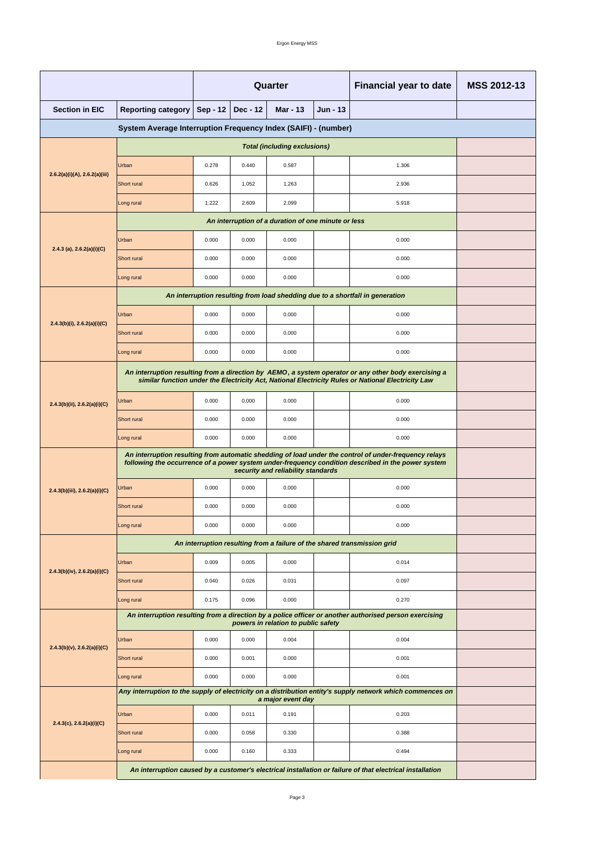|                                                                |                                                                                                                                                                                                             | <b>Quarter</b>                                                                                                                                                                                             |                 |                                                     |                 | <b>Financial year to date</b>                                                                              | <b>MSS 2012-13</b> |  |  |  |
|----------------------------------------------------------------|-------------------------------------------------------------------------------------------------------------------------------------------------------------------------------------------------------------|------------------------------------------------------------------------------------------------------------------------------------------------------------------------------------------------------------|-----------------|-----------------------------------------------------|-----------------|------------------------------------------------------------------------------------------------------------|--------------------|--|--|--|
| <b>Section in EIC</b>                                          | <b>Reporting category</b>                                                                                                                                                                                   | <b>Sep - 12</b>                                                                                                                                                                                            | <b>Dec - 12</b> | <b>Mar - 13</b>                                     | <b>Jun - 13</b> |                                                                                                            |                    |  |  |  |
| System Average Interruption Frequency Index (SAIFI) - (number) |                                                                                                                                                                                                             |                                                                                                                                                                                                            |                 |                                                     |                 |                                                                                                            |                    |  |  |  |
|                                                                |                                                                                                                                                                                                             |                                                                                                                                                                                                            |                 |                                                     |                 |                                                                                                            |                    |  |  |  |
|                                                                | Urban                                                                                                                                                                                                       | 0.278                                                                                                                                                                                                      | 0.440           | 0.587                                               |                 | 1.306                                                                                                      |                    |  |  |  |
| 2.6.2(a)(i)(A), 2.6.2(a)(iii)                                  | Short rural                                                                                                                                                                                                 | 0.626                                                                                                                                                                                                      | 1.052           | 1.263                                               |                 | 2.936                                                                                                      |                    |  |  |  |
|                                                                | Long rural                                                                                                                                                                                                  | 1.222                                                                                                                                                                                                      | 2.609           | 2.099                                               |                 | 5.918                                                                                                      |                    |  |  |  |
|                                                                |                                                                                                                                                                                                             |                                                                                                                                                                                                            |                 | An interruption of a duration of one minute or less |                 |                                                                                                            |                    |  |  |  |
| 2.4.3 (a), $2.6.2(a)(i)(C)$                                    | Urban                                                                                                                                                                                                       | 0.000                                                                                                                                                                                                      | 0.000           | 0.000                                               |                 | 0.000                                                                                                      |                    |  |  |  |
|                                                                | <b>Short rural</b>                                                                                                                                                                                          | 0.000                                                                                                                                                                                                      | 0.000           | 0.000                                               |                 | 0.000                                                                                                      |                    |  |  |  |
|                                                                | Long rural                                                                                                                                                                                                  | 0.000                                                                                                                                                                                                      | 0.000           | 0.000                                               |                 | 0.000                                                                                                      |                    |  |  |  |
|                                                                |                                                                                                                                                                                                             |                                                                                                                                                                                                            |                 |                                                     |                 | An interruption resulting from load shedding due to a shortfall in generation                              |                    |  |  |  |
| $2.4.3(b)(i)$ , $2.6.2(a)(i)(C)$                               | Urban                                                                                                                                                                                                       | 0.000                                                                                                                                                                                                      | 0.000           | 0.000                                               |                 | 0.000                                                                                                      |                    |  |  |  |
|                                                                | Short rural                                                                                                                                                                                                 | 0.000                                                                                                                                                                                                      | 0.000           | 0.000                                               |                 | 0.000                                                                                                      |                    |  |  |  |
|                                                                | Long rural                                                                                                                                                                                                  | 0.000                                                                                                                                                                                                      | 0.000           | 0.000                                               |                 | 0.000                                                                                                      |                    |  |  |  |
|                                                                |                                                                                                                                                                                                             | An interruption resulting from a direction by AEMO, a system operator or any other body exercising a<br>similar function under the Electricity Act, National Electricity Rules or National Electricity Law |                 |                                                     |                 |                                                                                                            |                    |  |  |  |
| 2.4.3(b)(ii), 2.6.2(a)(i)(C)                                   | Urban                                                                                                                                                                                                       | 0.000                                                                                                                                                                                                      | 0.000           | 0.000                                               |                 | 0.000                                                                                                      |                    |  |  |  |
|                                                                | <b>Short rural</b>                                                                                                                                                                                          | 0.000                                                                                                                                                                                                      | 0.000           | 0.000                                               |                 | 0.000                                                                                                      |                    |  |  |  |
|                                                                | Long rural                                                                                                                                                                                                  | 0.000                                                                                                                                                                                                      | 0.000           | 0.000                                               |                 | 0.000                                                                                                      |                    |  |  |  |
|                                                                | An interruption resulting from automatic shedding of load under the control of under-frequency relays<br>following the occurrence of a power system under-frequency condition described in the power system |                                                                                                                                                                                                            |                 |                                                     |                 |                                                                                                            |                    |  |  |  |
| 2.4.3(b)(iii), 2.6.2(a)(i)(C)                                  | Urban                                                                                                                                                                                                       | 0.000                                                                                                                                                                                                      | 0.000           | 0.000                                               |                 | 0.000                                                                                                      |                    |  |  |  |
|                                                                | Short rural                                                                                                                                                                                                 | 0.000                                                                                                                                                                                                      | 0.000           | 0.000                                               |                 | 0.000                                                                                                      |                    |  |  |  |
|                                                                | Long rural                                                                                                                                                                                                  | 0.000                                                                                                                                                                                                      | 0.000           | 0.000                                               |                 | 0.000                                                                                                      |                    |  |  |  |
|                                                                | An interruption resulting from a failure of the shared transmission grid                                                                                                                                    |                                                                                                                                                                                                            |                 |                                                     |                 |                                                                                                            |                    |  |  |  |
|                                                                | Urban                                                                                                                                                                                                       | 0.009                                                                                                                                                                                                      | 0.005           | 0.000                                               |                 | 0.014                                                                                                      |                    |  |  |  |
| $2.4.3(b)(iv)$ , $2.6.2(a)(i)(C)$                              | Short rural                                                                                                                                                                                                 | 0.040                                                                                                                                                                                                      | 0.026           | 0.031                                               |                 | 0.097                                                                                                      |                    |  |  |  |
|                                                                | Long rural                                                                                                                                                                                                  | 0.175                                                                                                                                                                                                      | 0.096           | 0.000                                               |                 | 0.270                                                                                                      |                    |  |  |  |
|                                                                |                                                                                                                                                                                                             |                                                                                                                                                                                                            |                 | powers in relation to public safety                 |                 | An interruption resulting from a direction by a police officer or another authorised person exercising     |                    |  |  |  |
|                                                                | Urban                                                                                                                                                                                                       | 0.000                                                                                                                                                                                                      | 0.000           | 0.004                                               |                 | 0.004                                                                                                      |                    |  |  |  |
| $2.4.3(b)(v)$ , $2.6.2(a)(i)(C)$                               | <b>Short rural</b>                                                                                                                                                                                          | 0.000                                                                                                                                                                                                      | 0.001           | 0.000                                               |                 | 0.001                                                                                                      |                    |  |  |  |
|                                                                | Long rural                                                                                                                                                                                                  | 0.000                                                                                                                                                                                                      | 0.000           | 0.000                                               |                 | 0.001                                                                                                      |                    |  |  |  |
|                                                                |                                                                                                                                                                                                             |                                                                                                                                                                                                            |                 | a major event day                                   |                 | Any interruption to the supply of electricity on a distribution entity's supply network which commences on |                    |  |  |  |
|                                                                | Urban                                                                                                                                                                                                       | 0.000                                                                                                                                                                                                      | 0.011           | 0.191                                               |                 | 0.203                                                                                                      |                    |  |  |  |
| $2.4.3(c)$ , $2.6.2(a)(i)(C)$                                  | <b>Short rural</b>                                                                                                                                                                                          | 0.000                                                                                                                                                                                                      | 0.058           | 0.330                                               |                 | 0.388                                                                                                      |                    |  |  |  |
|                                                                | Long rural                                                                                                                                                                                                  | 0.000                                                                                                                                                                                                      | 0.160           | 0.333                                               |                 | 0.494                                                                                                      |                    |  |  |  |
|                                                                | An interruption caused by a customer's electrical installation or failure of that electrical installation                                                                                                   |                                                                                                                                                                                                            |                 |                                                     |                 |                                                                                                            |                    |  |  |  |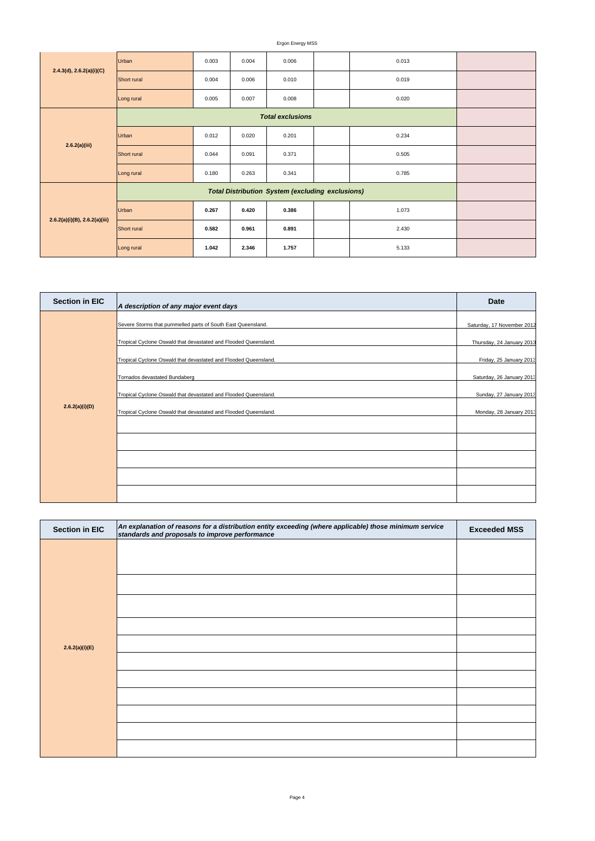Ergon Energy MSS

| 2.4.3(d), 2.6.2(a)(i)(C)           | Urban       | 0.003 | 0.004 | 0.006 | 0.013 |  |
|------------------------------------|-------------|-------|-------|-------|-------|--|
|                                    | Short rural | 0.004 | 0.006 | 0.010 | 0.019 |  |
|                                    | Long rural  | 0.005 | 0.007 | 0.008 | 0.020 |  |
|                                    |             |       |       |       |       |  |
| 2.6.2(a)(iii)                      | Urban       | 0.012 | 0.020 | 0.201 | 0.234 |  |
|                                    | Short rural | 0.044 | 0.091 | 0.371 | 0.505 |  |
|                                    | Long rural  | 0.180 | 0.263 | 0.341 | 0.785 |  |
|                                    |             |       |       |       |       |  |
| $2.6.2(a)(i)(B)$ , $2.6.2(a)(iii)$ | Urban       | 0.267 | 0.420 | 0.386 | 1.073 |  |
|                                    | Short rural | 0.582 | 0.961 | 0.891 | 2.430 |  |
|                                    | Long rural  | 1.042 | 2.346 | 1.757 | 5.133 |  |

| <b>Section in EIC</b> | An explanation of reasons for a distribution entity exceeding (where applicable) those minimum service<br>standards and proposals to improve performance | <b>Exceeded MSS</b> |
|-----------------------|----------------------------------------------------------------------------------------------------------------------------------------------------------|---------------------|
|                       |                                                                                                                                                          |                     |
|                       |                                                                                                                                                          |                     |
|                       |                                                                                                                                                          |                     |
|                       |                                                                                                                                                          |                     |
|                       |                                                                                                                                                          |                     |

| 2.6.2(a)(i)(E) |  |
|----------------|--|
|                |  |
|                |  |
|                |  |
|                |  |
|                |  |
|                |  |

| <b>Section in EIC</b> | A description of any major event days                                                                                           | <b>Date</b>                                             |
|-----------------------|---------------------------------------------------------------------------------------------------------------------------------|---------------------------------------------------------|
|                       | Severe Storms that pummelled parts of South East Queensland.<br>Tropical Cyclone Oswald that devastated and Flooded Queensland. | Saturday, 17 November 2012<br>Thursday, 24 January 2013 |
|                       | Tropical Cyclone Oswald that devastated and Flooded Queensland.                                                                 | Friday, 25 January 2013                                 |
|                       | Tornados devastated Bundaberg                                                                                                   | Saturday, 26 January 2013                               |
|                       | Tropical Cyclone Oswald that devastated and Flooded Queensland.                                                                 | Sunday, 27 January 2013                                 |
| 2.6.2(a)(i)(D)        | Tropical Cyclone Oswald that devastated and Flooded Queensland.                                                                 | Monday, 28 January 2013                                 |
|                       |                                                                                                                                 |                                                         |
|                       |                                                                                                                                 |                                                         |
|                       |                                                                                                                                 |                                                         |
|                       |                                                                                                                                 |                                                         |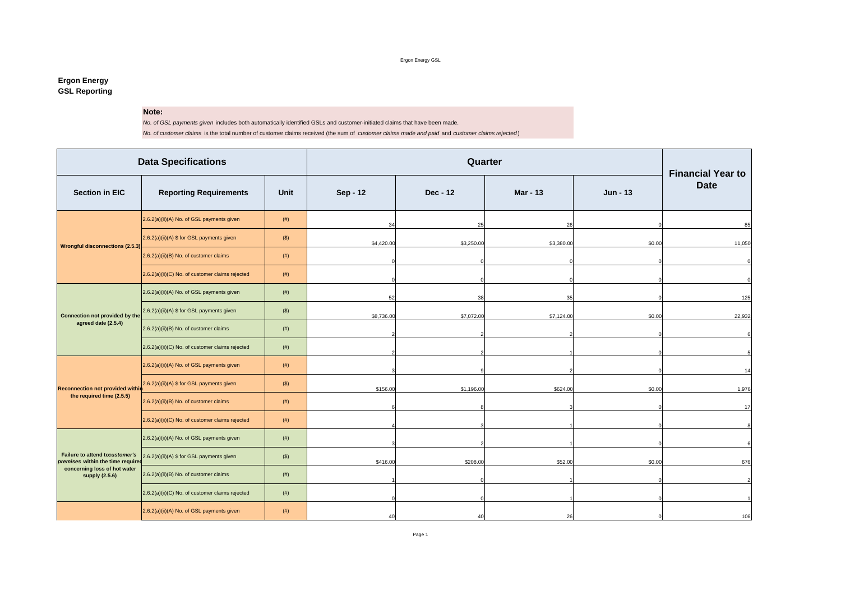Ergon Energy GSL

## **Ergon Energy GSL Reporting**

## **Note:**

*No. of GSL payments given* includes both automatically identified GSLs and customer-initiated claims that have been made.

*No. of customer claims* is the total number of customer claims received (the sum of *customer claims made and paid* and *customer claims rejected* )

| <b>Data Specifications</b>                                          |                                                 |             |            | Quarter    |                 |          |                                         |  |  |  |
|---------------------------------------------------------------------|-------------------------------------------------|-------------|------------|------------|-----------------|----------|-----------------------------------------|--|--|--|
| <b>Section in EIC</b>                                               | <b>Reporting Requirements</b>                   | <b>Unit</b> | Sep - 12   | Dec - 12   | <b>Mar - 13</b> | Jun - 13 | <b>Financial Year to</b><br><b>Date</b> |  |  |  |
|                                                                     | 2.6.2(a)(ii)(A) No. of GSL payments given       | (# )        | 34         | 25         | 26              |          | 85                                      |  |  |  |
| <b>Wrongful disconnections (2.5.3)</b>                              | 2.6.2(a)(ii)(A) \$ for GSL payments given       | $($ \$)     | \$4,420.00 | \$3,250.00 | \$3,380.00      | \$0.00   | 11,050                                  |  |  |  |
|                                                                     | 2.6.2(a)(ii)(B) No. of customer claims          | $($ # $)$   |            |            |                 |          | $\mathbf 0$                             |  |  |  |
|                                                                     | 2.6.2(a)(ii)(C) No. of customer claims rejected | (# )        |            |            |                 |          | $\Omega$                                |  |  |  |
|                                                                     | 2.6.2(a)(ii)(A) No. of GSL payments given       | (# )        | 52         | 38         | 35              |          | 125                                     |  |  |  |
| Connection not provided by the                                      | 2.6.2(a)(ii)(A) \$ for GSL payments given       | $($ \$)     | \$8,736.00 | \$7,072.00 | \$7,124.00      | \$0.00   | 22,932                                  |  |  |  |
| agreed date (2.5.4)                                                 | 2.6.2(a)(ii)(B) No. of customer claims          | (# )        |            |            |                 |          | 6                                       |  |  |  |
|                                                                     | 2.6.2(a)(ii)(C) No. of customer claims rejected | (# )        |            |            |                 |          |                                         |  |  |  |
|                                                                     | 2.6.2(a)(ii)(A) No. of GSL payments given       | (# )        |            |            |                 |          | 14                                      |  |  |  |
| <b>Reconnection not provided within</b>                             | 2.6.2(a)(ii)(A) \$ for GSL payments given       | $($ \$)     | \$156.00   | \$1,196.00 | \$624.00        | \$0.00   | 1,976                                   |  |  |  |
| the required time (2.5.5)                                           | 2.6.2(a)(ii)(B) No. of customer claims          | (# )        |            |            |                 |          | 17                                      |  |  |  |
|                                                                     | 2.6.2(a)(ii)(C) No. of customer claims rejected | (# )        |            |            |                 |          | $\mathsf{R}$                            |  |  |  |
|                                                                     | 2.6.2(a)(ii)(A) No. of GSL payments given       | (# )        |            |            |                 |          | 6                                       |  |  |  |
| Failure to attend tocustomer's<br>premises within the time required | 2.6.2(a)(ii)(A) \$ for GSL payments given       | $($ \$)     | \$416.00   | \$208.00   | \$52.00         | \$0.00   | 676                                     |  |  |  |
| concerning loss of hot water<br>supply (2.5.6)                      | 2.6.2(a)(ii)(B) No. of customer claims          | (# )        |            |            |                 |          | $\overline{2}$                          |  |  |  |
|                                                                     | 2.6.2(a)(ii)(C) No. of customer claims rejected | (# )        |            |            |                 |          |                                         |  |  |  |
|                                                                     | 2.6.2(a)(ii)(A) No. of GSL payments given       | $($ # $)$   | 40         | 40         | 26              |          | 106                                     |  |  |  |